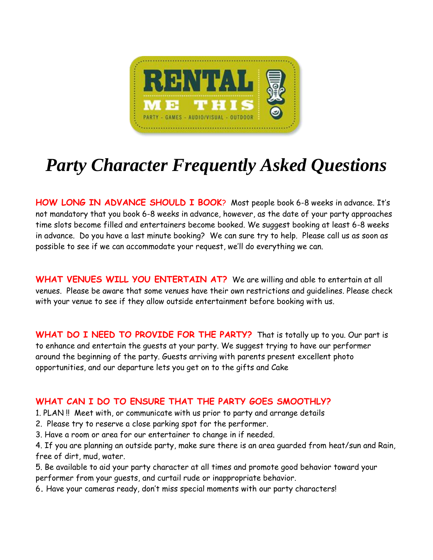

## *Party Character Frequently Asked Questions*

**HOW LONG IN ADVANCE SHOULD I BOOK**? Most people book 6-8 weeks in advance. It's not mandatory that you book 6-8 weeks in advance, however, as the date of your party approaches time slots become filled and entertainers become booked. We suggest booking at least 6-8 weeks in advance. Do you have a last minute booking? We can sure try to help. Please call us as soon as possible to see if we can accommodate your request, we'll do everything we can.

**WHAT VENUES WILL YOU ENTERTAIN AT?** We are willing and able to entertain at all venues. Please be aware that some venues have their own restrictions and guidelines. Please check with your venue to see if they allow outside entertainment before booking with us.

WHAT DO I NEED TO PROVIDE FOR THE PARTY? That is totally up to you. Our part is to enhance and entertain the guests at your party. We suggest trying to have our performer around the beginning of the party. Guests arriving with parents present excellent photo opportunities, and our departure lets you get on to the gifts and Cake

## **WHAT CAN I DO TO ENSURE THAT THE PARTY GOES SMOOTHLY?**

1. PLAN !! Meet with, or communicate with us prior to party and arrange details

- 2. Please try to reserve a close parking spot for the performer.
- 3. Have a room or area for our entertainer to change in if needed.

4. If you are planning an outside party, make sure there is an area guarded from heat/sun and Rain, free of dirt, mud, water.

5. Be available to aid your party character at all times and promote good behavior toward your performer from your guests, and curtail rude or inappropriate behavior.

6**.** Have your cameras ready, don't miss special moments with our party characters!